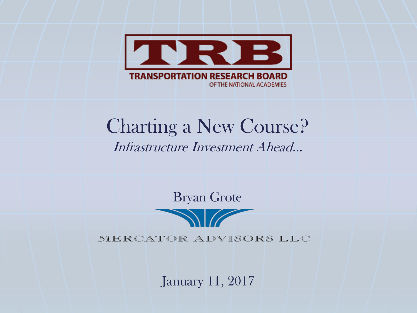

# Charting a New Course? Infrastructure Investment Ahead…

Bryan Grote

MERCATOR ADVISORS LLC

January 11, 2017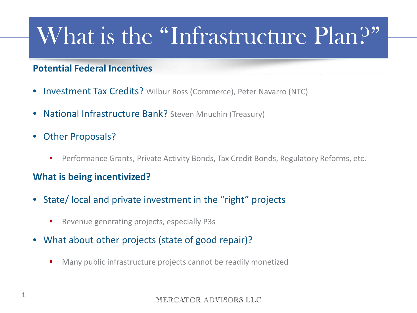# What is the "Infrastructure Plan?"

#### **Potential Federal Incentives**

- Investment Tax Credits? Wilbur Ross (Commerce), Peter Navarro (NTC)
- National Infrastructure Bank? Steven Mnuchin (Treasury)
- Other Proposals?
	- Performance Grants, Private Activity Bonds, Tax Credit Bonds, Regulatory Reforms, etc.

#### **What is being incentivized?**

- State/ local and private investment in the "right" projects
	- Revenue generating projects, especially P3s
- What about other projects (state of good repair)?
	- Many public infrastructure projects cannot be readily monetized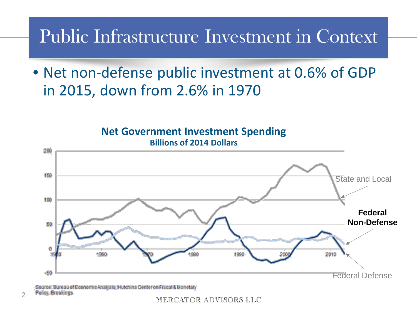# Public Infrastructure Investment in Context

• Net non-defense public investment at 0.6% of GDP in 2015, down from 2.6% in 1970



urce: Bureau of Economie Analysis; Hutchins Center on Fiscal & Monetary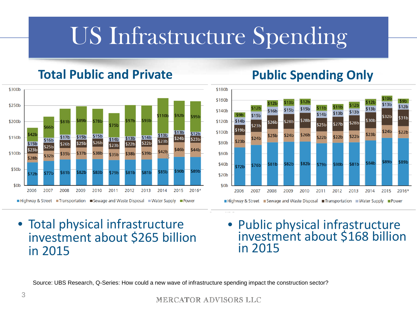# US Infrastructure Spending

## **Total Public and Private**



## **Public Spending Only**



- Total physical infrastructure investment about \$265 billion in 2015
- Public physical infrastructure investment about \$168 billion in 2015

Source: UBS Research, Q-Series: How could a new wave of infrastructure spending impact the construction sector?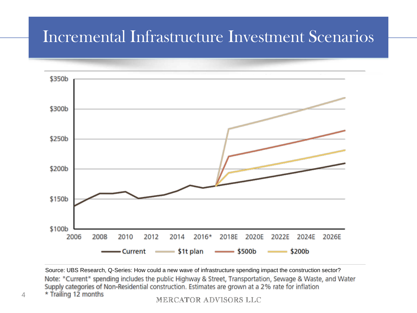## Incremental Infrastructure Investment Scenarios



Source: UBS Research, Q-Series: How could a new wave of infrastructure spending impact the construction sector? Note: "Current" spending includes the public Highway & Street, Transportation, Sewage & Waste, and Water Supply categories of Non-Residential construction. Estimates are grown at a 2% rate for inflation \* Trailing 12 months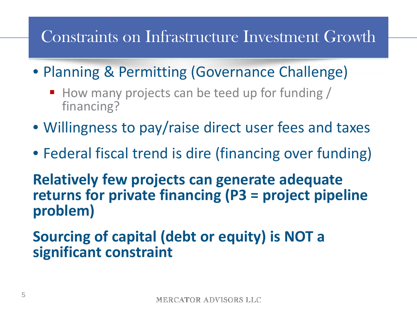# Constraints on Infrastructure Investment Growth

• Planning & Permitting (Governance Challenge)

- $\blacksquare$  How many projects can be teed up for funding / financing?
- Willingness to pay/raise direct user fees and taxes
- Federal fiscal trend is dire (financing over funding)

**Relatively few projects can generate adequate returns for private financing (P3 = project pipeline problem)**

## **Sourcing of capital (debt or equity) is NOT a significant constraint**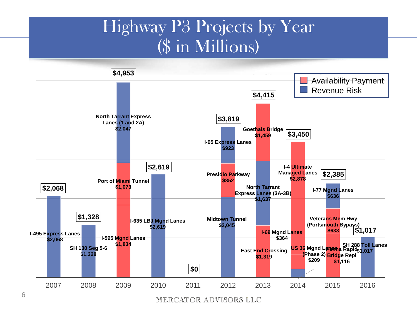## Highway P3 Projects by Year (\$ in Millions)



MERCATOR ADVISORS LLC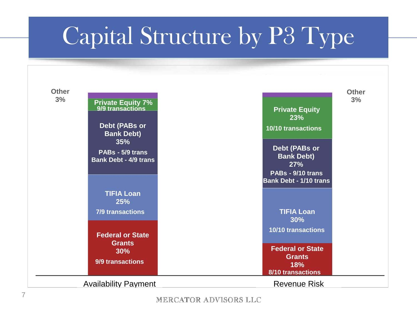# Capital Structure by P3 Type

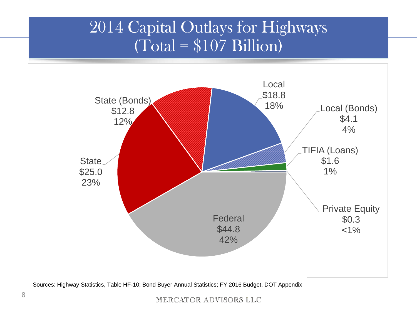## 2014 Capital Outlays for Highways  $(\text{Total} = $107 \text{ Billion})$



Sources: Highway Statistics, Table HF-10; Bond Buyer Annual Statistics; FY 2016 Budget, DOT Appendix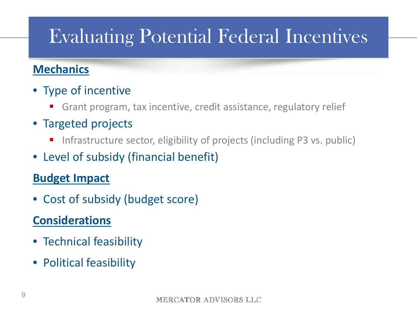# Evaluating Potential Federal Incentives

## **Mechanics**

- Type of incentive
	- Grant program, tax incentive, credit assistance, regulatory relief
- Targeted projects
	- Infrastructure sector, eligibility of projects (including P3 vs. public)
- Level of subsidy (financial benefit)

## **Budget Impact**

• Cost of subsidy (budget score)

## **Considerations**

- Technical feasibility
- Political feasibility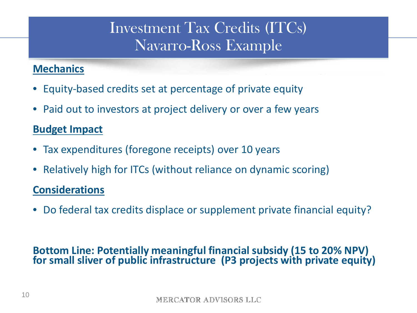## Investment Tax Credits (ITCs) Navarro-Ross Example

### **Mechanics**

- Equity-based credits set at percentage of private equity
- Paid out to investors at project delivery or over a few years

#### **Budget Impact**

- Tax expenditures (foregone receipts) over 10 years
- Relatively high for ITCs (without reliance on dynamic scoring)

#### **Considerations**

• Do federal tax credits displace or supplement private financial equity?

#### **Bottom Line: Potentially meaningful financial subsidy (15 to 20% NPV) for small sliver of public infrastructure (P3 projects with private equity)**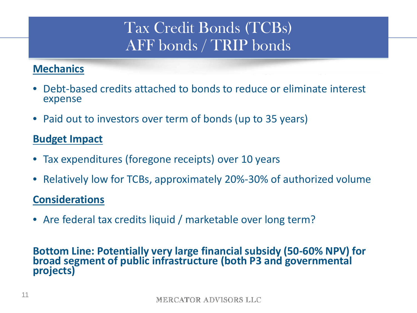## Tax Credit Bonds (TCBs) AFF bonds / TRIP bonds

### **Mechanics**

- Debt-based credits attached to bonds to reduce or eliminate interest expense
- Paid out to investors over term of bonds (up to 35 years)

### **Budget Impact**

- Tax expenditures (foregone receipts) over 10 years
- Relatively low for TCBs, approximately 20%-30% of authorized volume

#### **Considerations**

• Are federal tax credits liquid / marketable over long term?

## **Bottom Line: Potentially very large financial subsidy (50-60% NPV) for broad segment of public infrastructure (both P3 and governmental projects)**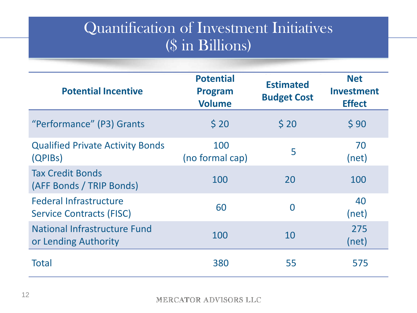## Quantification of Investment Initiatives (\$ in Billions)

| <b>Potential Incentive</b>                                       | <b>Potential</b><br><b>Program</b><br><b>Volume</b> | <b>Estimated</b><br><b>Budget Cost</b> | <b>Net</b><br><b>Investment</b><br><b>Effect</b> |
|------------------------------------------------------------------|-----------------------------------------------------|----------------------------------------|--------------------------------------------------|
| "Performance" (P3) Grants                                        | \$20                                                | \$20                                   | \$90                                             |
| <b>Qualified Private Activity Bonds</b><br>(QPIBs)               | 100<br>(no formal cap)                              | 5                                      | 70<br>(net)                                      |
| <b>Tax Credit Bonds</b><br>(AFF Bonds / TRIP Bonds)              | 100                                                 | 20                                     | 100                                              |
| <b>Federal Infrastructure</b><br><b>Service Contracts (FISC)</b> | 60                                                  | $\bf{0}$                               | 40<br>(net)                                      |
| National Infrastructure Fund<br>or Lending Authority             | 100                                                 | 10                                     | 275<br>(net)                                     |
| <b>Total</b>                                                     | 380                                                 | 55                                     | 575                                              |